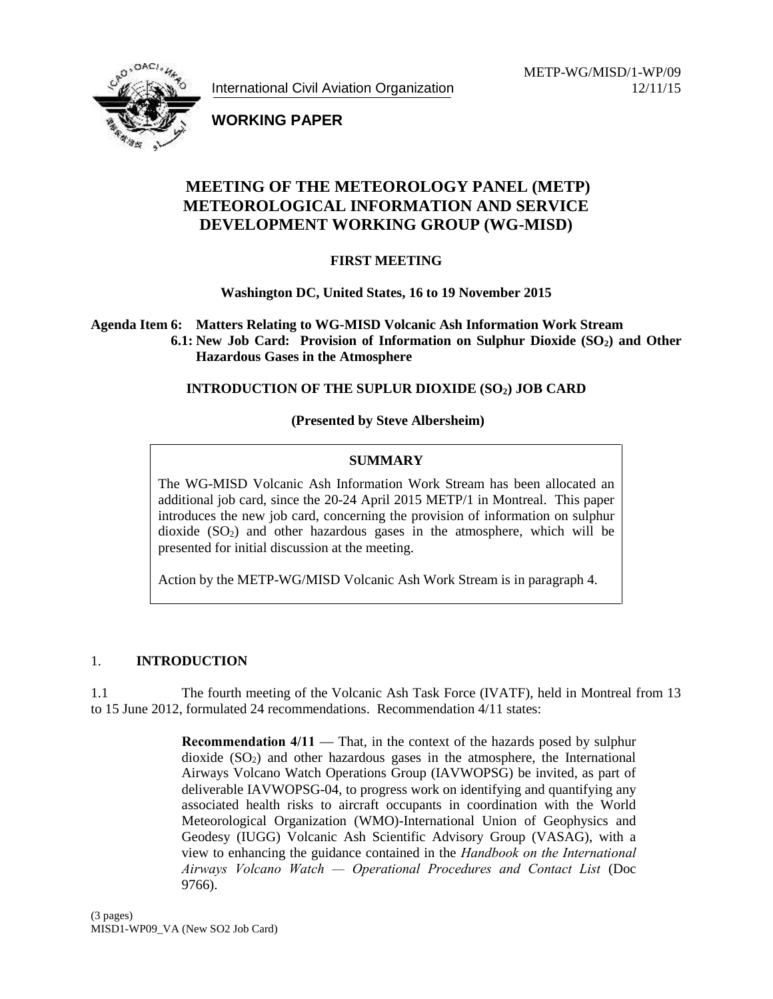International Civil Aviation Organization

METP-WG/MISD/1-WP/09 12/11/15



**WORKING PAPER**

# **MEETING OF THE METEOROLOGY PANEL (METP) METEOROLOGICAL INFORMATION AND SERVICE DEVELOPMENT WORKING GROUP (WG-MISD)**

## **FIRST MEETING**

**Washington DC, United States, 16 to 19 November 2015**

**Agenda Item 6: Matters Relating to WG-MISD Volcanic Ash Information Work Stream 6.1: New Job Card: Provision of Information on Sulphur Dioxide (SO2) and Other Hazardous Gases in the Atmosphere**

## **INTRODUCTION OF THE SUPLUR DIOXIDE (SO2) JOB CARD**

## **(Presented by Steve Albersheim)**

## **SUMMARY**

The WG-MISD Volcanic Ash Information Work Stream has been allocated an additional job card, since the 20-24 April 2015 METP/1 in Montreal. This paper introduces the new job card, concerning the provision of information on sulphur dioxide  $(SO<sub>2</sub>)$  and other hazardous gases in the atmosphere, which will be presented for initial discussion at the meeting.

Action by the METP-WG/MISD Volcanic Ash Work Stream is in paragraph 4.

#### 1. **INTRODUCTION**

1.1 The fourth meeting of the Volcanic Ash Task Force (IVATF), held in Montreal from 13 to 15 June 2012, formulated 24 recommendations. Recommendation 4/11 states:

> **Recommendation 4/11** That, in the context of the hazards posed by sulphur dioxide  $(SO<sub>2</sub>)$  and other hazardous gases in the atmosphere, the International Airways Volcano Watch Operations Group (IAVWOPSG) be invited, as part of deliverable IAVWOPSG-04, to progress work on identifying and quantifying any associated health risks to aircraft occupants in coordination with the World Meteorological Organization (WMO)-International Union of Geophysics and Geodesy (IUGG) Volcanic Ash Scientific Advisory Group (VASAG), with a view to enhancing the guidance contained in the *Handbook on the International Airways Volcano Watch — Operational Procedures and Contact List* (Doc 9766).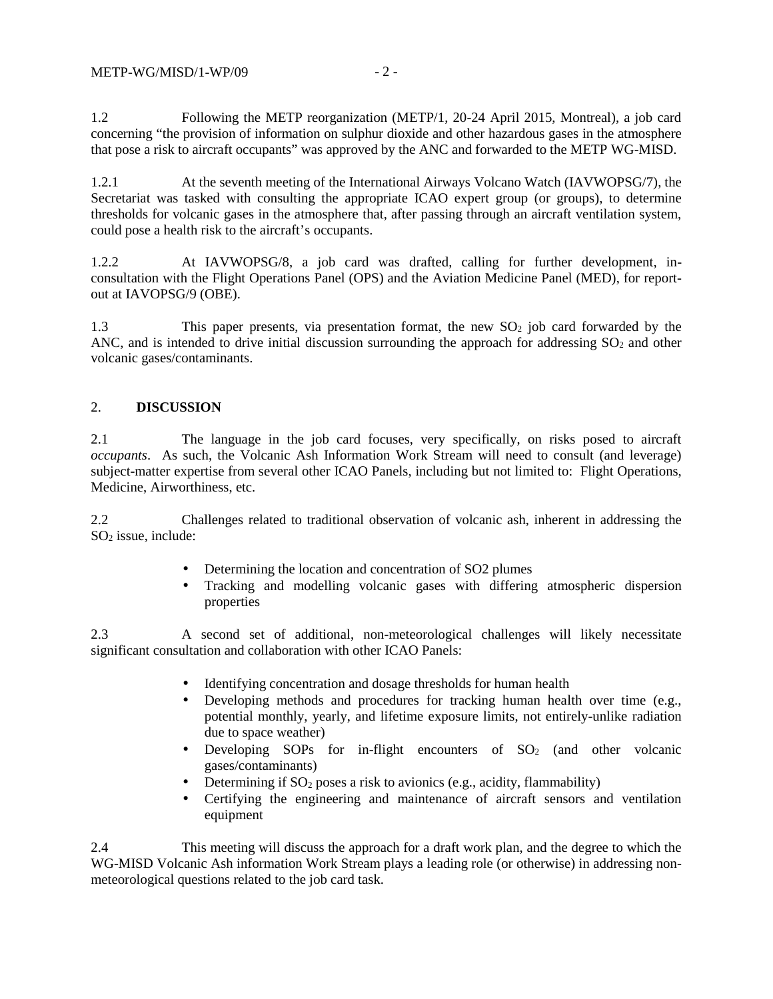1.2 Following the METP reorganization (METP/1, 20-24 April 2015, Montreal), a job card concerning "the provision of information on sulphur dioxide and other hazardous gases in the atmosphere that pose a risk to aircraft occupants" was approved by the ANC and forwarded to the METP WG-MISD.

1.2.1 At the seventh meeting of the International Airways Volcano Watch (IAVWOPSG/7), the Secretariat was tasked with consulting the appropriate ICAO expert group (or groups), to determine thresholds for volcanic gases in the atmosphere that, after passing through an aircraft ventilation system, could pose a health risk to the aircraft's occupants.

1.2.2 At IAVWOPSG/8, a job card was drafted, calling for further development, in consultation with the Flight Operations Panel (OPS) and the Aviation Medicine Panel (MED), for report out at IAVOPSG/9 (OBE).

1.3 This paper presents, via presentation format, the new SO<sub>2</sub> job card forwarded by the ANC, and is intended to drive initial discussion surrounding the approach for addressing  $SO<sub>2</sub>$  and other volcanic gases/contaminants.

#### 2. **DISCUSSION**

2.1 The language in the job card focuses, very specifically, on risks posed to aircraft *occupants*. As such, the Volcanic Ash Information Work Stream will need to consult (and leverage) subject-matter expertise from several other ICAO Panels, including but not limited to: Flight Operations, Medicine, Airworthiness, etc.

2.2 Challenges related to traditional observation of volcanic ash, inherent in addressing the  $SO<sub>2</sub>$  issue, include:

- Determining the location and concentration of SO2 plumes
- Tracking and modelling volcanic gases with differing atmospheric dispersion properties

2.3 A second set of additional, non-meteorological challenges will likely necessitate significant consultation and collaboration with other ICAO Panels:

- Identifying concentration and dosage thresholds for human health
- Developing methods and procedures for tracking human health over time (e.g., potential monthly, yearly, and lifetime exposure limits, not entirely-unlike radiation due to space weather)
- Developing SOPs for in-flight encounters of  $SO_2$  (and other volcanic gases/contaminants)
- Determining if  $SO_2$  poses a risk to avionics (e.g., acidity, flammability)
- Certifying the engineering and maintenance of aircraft sensors and ventilation equipment

2.4 This meeting will discuss the approach for a draft work plan, and the degree to which the WG-MISD Volcanic Ash information Work Stream plays a leading role (or otherwise) in addressing non meteorological questions related to the job card task.